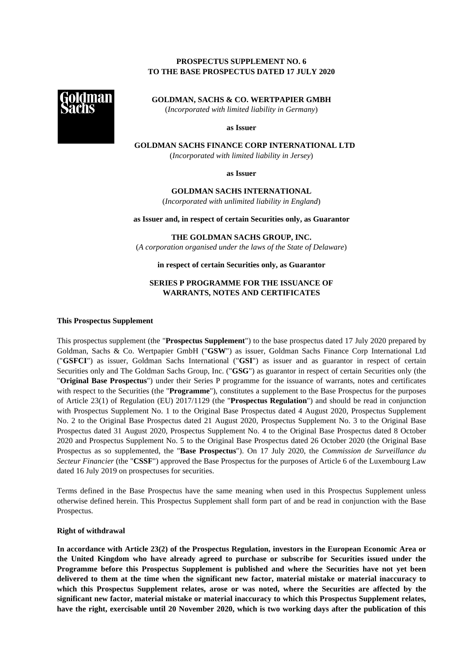# **PROSPECTUS SUPPLEMENT NO. 6 TO THE BASE PROSPECTUS DATED 17 JULY 2020**



**GOLDMAN, SACHS & CO. WERTPAPIER GMBH**  (*Incorporated with limited liability in Germany*)

**as Issuer** 

**GOLDMAN SACHS FINANCE CORP INTERNATIONAL LTD** 

(*Incorporated with limited liability in Jersey*)

**as Issuer** 

### **GOLDMAN SACHS INTERNATIONAL**

(*Incorporated with unlimited liability in England*)

**as Issuer and, in respect of certain Securities only, as Guarantor** 

**THE GOLDMAN SACHS GROUP, INC.** 

(*A corporation organised under the laws of the State of Delaware*)

**in respect of certain Securities only, as Guarantor** 

# **SERIES P PROGRAMME FOR THE ISSUANCE OF WARRANTS, NOTES AND CERTIFICATES**

#### **This Prospectus Supplement**

This prospectus supplement (the "**Prospectus Supplement**") to the base prospectus dated 17 July 2020 prepared by Goldman, Sachs & Co. Wertpapier GmbH ("**GSW**") as issuer, Goldman Sachs Finance Corp International Ltd ("**GSFCI**") as issuer, Goldman Sachs International ("**GSI**") as issuer and as guarantor in respect of certain Securities only and The Goldman Sachs Group, Inc. ("**GSG**") as guarantor in respect of certain Securities only (the "**Original Base Prospectus**") under their Series P programme for the issuance of warrants, notes and certificates with respect to the Securities (the "**Programme**"), constitutes a supplement to the Base Prospectus for the purposes of Article 23(1) of Regulation (EU) 2017/1129 (the "**Prospectus Regulation**") and should be read in conjunction with Prospectus Supplement No. 1 to the Original Base Prospectus dated 4 August 2020, Prospectus Supplement No. 2 to the Original Base Prospectus dated 21 August 2020, Prospectus Supplement No. 3 to the Original Base Prospectus dated 31 August 2020, Prospectus Supplement No. 4 to the Original Base Prospectus dated 8 October 2020 and Prospectus Supplement No. 5 to the Original Base Prospectus dated 26 October 2020 (the Original Base Prospectus as so supplemented, the "**Base Prospectus**"). On 17 July 2020, the *Commission de Surveillance du Secteur Financier* (the "**CSSF**") approved the Base Prospectus for the purposes of Article 6 of the Luxembourg Law dated 16 July 2019 on prospectuses for securities.

Terms defined in the Base Prospectus have the same meaning when used in this Prospectus Supplement unless otherwise defined herein. This Prospectus Supplement shall form part of and be read in conjunction with the Base Prospectus.

#### **Right of withdrawal**

**In accordance with Article 23(2) of the Prospectus Regulation, investors in the European Economic Area or the United Kingdom who have already agreed to purchase or subscribe for Securities issued under the Programme before this Prospectus Supplement is published and where the Securities have not yet been delivered to them at the time when the significant new factor, material mistake or material inaccuracy to which this Prospectus Supplement relates, arose or was noted, where the Securities are affected by the significant new factor, material mistake or material inaccuracy to which this Prospectus Supplement relates, have the right, exercisable until 20 November 2020, which is two working days after the publication of this**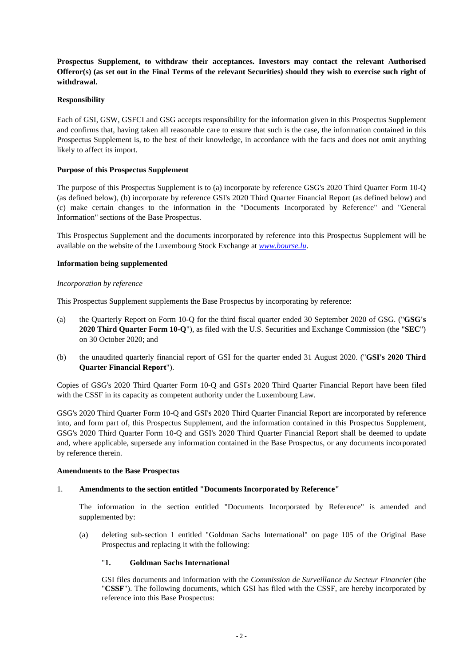**Prospectus Supplement, to withdraw their acceptances. Investors may contact the relevant Authorised Offeror(s) (as set out in the Final Terms of the relevant Securities) should they wish to exercise such right of withdrawal.** 

## **Responsibility**

Each of GSI, GSW, GSFCI and GSG accepts responsibility for the information given in this Prospectus Supplement and confirms that, having taken all reasonable care to ensure that such is the case, the information contained in this Prospectus Supplement is, to the best of their knowledge, in accordance with the facts and does not omit anything likely to affect its import.

# **Purpose of this Prospectus Supplement**

The purpose of this Prospectus Supplement is to (a) incorporate by reference GSG's 2020 Third Quarter Form 10-Q (as defined below), (b) incorporate by reference GSI's 2020 Third Quarter Financial Report (as defined below) and (c) make certain changes to the information in the "Documents Incorporated by Reference" and "General Information" sections of the Base Prospectus.

This Prospectus Supplement and the documents incorporated by reference into this Prospectus Supplement will be available on the website of the Luxembourg Stock Exchange at *www.bourse.lu*.

# **Information being supplemented**

## *Incorporation by reference*

This Prospectus Supplement supplements the Base Prospectus by incorporating by reference:

- (a) the Quarterly Report on Form 10-Q for the third fiscal quarter ended 30 September 2020 of GSG. ("**GSG's 2020 Third Quarter Form 10-Q**"), as filed with the U.S. Securities and Exchange Commission (the "**SEC**") on 30 October 2020; and
- (b) the unaudited quarterly financial report of GSI for the quarter ended 31 August 2020. ("**GSI's 2020 Third Quarter Financial Report**").

Copies of GSG's 2020 Third Quarter Form 10-Q and GSI's 2020 Third Quarter Financial Report have been filed with the CSSF in its capacity as competent authority under the Luxembourg Law.

GSG's 2020 Third Quarter Form 10-Q and GSI's 2020 Third Quarter Financial Report are incorporated by reference into, and form part of, this Prospectus Supplement, and the information contained in this Prospectus Supplement, GSG's 2020 Third Quarter Form 10-Q and GSI's 2020 Third Quarter Financial Report shall be deemed to update and, where applicable, supersede any information contained in the Base Prospectus, or any documents incorporated by reference therein.

## **Amendments to the Base Prospectus**

## 1. **Amendments to the section entitled "Documents Incorporated by Reference"**

The information in the section entitled "Documents Incorporated by Reference" is amended and supplemented by:

(a) deleting sub-section 1 entitled "Goldman Sachs International" on page 105 of the Original Base Prospectus and replacing it with the following:

## "**1. Goldman Sachs International**

GSI files documents and information with the *Commission de Surveillance du Secteur Financier* (the "**CSSF**"). The following documents, which GSI has filed with the CSSF, are hereby incorporated by reference into this Base Prospectus: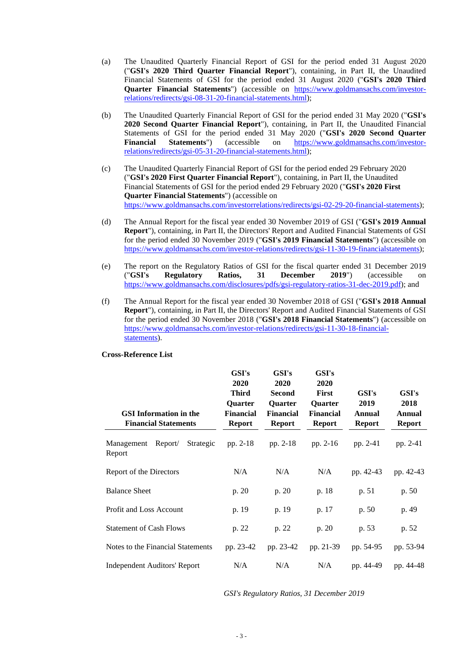- (a) The Unaudited Quarterly Financial Report of GSI for the period ended 31 August 2020 ("**GSI's 2020 Third Quarter Financial Report**"), containing, in Part II, the Unaudited Financial Statements of GSI for the period ended 31 August 2020 ("**GSI's 2020 Third Quarter Financial Statements**") (accessible on https://www.goldmansachs.com/investorrelations/redirects/gsi-08-31-20-financial-statements.html);
- (b) The Unaudited Quarterly Financial Report of GSI for the period ended 31 May 2020 ("**GSI's 2020 Second Quarter Financial Report**"), containing, in Part II, the Unaudited Financial Statements of GSI for the period ended 31 May 2020 ("**GSI's 2020 Second Quarter Financial Statements**") (accessible on https://www.goldmansachs.com/investorrelations/redirects/gsi-05-31-20-financial-statements.html);
- (c) The Unaudited Quarterly Financial Report of GSI for the period ended 29 February 2020 ("**GSI's 2020 First Quarter Financial Report**"), containing, in Part II, the Unaudited Financial Statements of GSI for the period ended 29 February 2020 ("**GSI's 2020 First Quarter Financial Statements**") (accessible on https://www.goldmansachs.com/investorrelations/redirects/gsi-02-29-20-financial-statements);
- (d) The Annual Report for the fiscal year ended 30 November 2019 of GSI ("**GSI's 2019 Annual Report**"), containing, in Part II, the Directors' Report and Audited Financial Statements of GSI for the period ended 30 November 2019 ("**GSI's 2019 Financial Statements**") (accessible on https://www.goldmansachs.com/investor-relations/redirects/gsi-11-30-19-financialstatements);
- (e) The report on the Regulatory Ratios of GSI for the fiscal quarter ended 31 December 2019 ("**GSI's Regulatory Ratios, 31 December 2019**") (accessible on https://www.goldmansachs.com/disclosures/pdfs/gsi-regulatory-ratios-31-dec-2019.pdf); and
- (f) The Annual Report for the fiscal year ended 30 November 2018 of GSI ("**GSI's 2018 Annual Report**"), containing, in Part II, the Directors' Report and Audited Financial Statements of GSI for the period ended 30 November 2018 ("**GSI's 2018 Financial Statements**") (accessible on https://www.goldmansachs.com/investor-relations/redirects/gsi-11-30-18-financialstatements).

| <b>GSI</b> Information in the<br><b>Financial Statements</b> | GSI's<br>2020<br><b>Third</b><br><b>Ouarter</b><br><b>Financial</b><br><b>Report</b> | GSI's<br>2020<br><b>Second</b><br><b>Ouarter</b><br><b>Financial</b><br><b>Report</b> | GSI's<br>2020<br><b>First</b><br><b>Ouarter</b><br><b>Financial</b><br><b>Report</b> | GSI's<br>2019<br><b>Annual</b><br><b>Report</b> | GSI's<br>2018<br>Annual<br><b>Report</b> |
|--------------------------------------------------------------|--------------------------------------------------------------------------------------|---------------------------------------------------------------------------------------|--------------------------------------------------------------------------------------|-------------------------------------------------|------------------------------------------|
| Management Report/<br>Strategic<br>Report                    | pp. $2-18$                                                                           | pp. $2-18$                                                                            | pp. $2-16$                                                                           | pp. 2-41                                        | pp. 2-41                                 |
| Report of the Directors                                      | N/A                                                                                  | N/A                                                                                   | N/A                                                                                  | pp. 42-43                                       | pp. 42-43                                |
| <b>Balance Sheet</b>                                         | p. 20                                                                                | p. 20                                                                                 | p. 18                                                                                | p. 51                                           | p. 50                                    |
| Profit and Loss Account                                      | p. 19                                                                                | p. 19                                                                                 | p. 17                                                                                | p.50                                            | p. 49                                    |
| <b>Statement of Cash Flows</b>                               | p. 22                                                                                | p. 22                                                                                 | p. 20                                                                                | p. 53                                           | p. 52                                    |
| Notes to the Financial Statements                            | pp. 23-42                                                                            | pp. 23-42                                                                             | pp. 21-39                                                                            | pp. 54-95                                       | pp. 53-94                                |
| <b>Independent Auditors' Report</b>                          | N/A                                                                                  | N/A                                                                                   | N/A                                                                                  | pp. 44-49                                       | pp. 44-48                                |

#### **Cross-Reference List**

*GSI's Regulatory Ratios, 31 December 2019*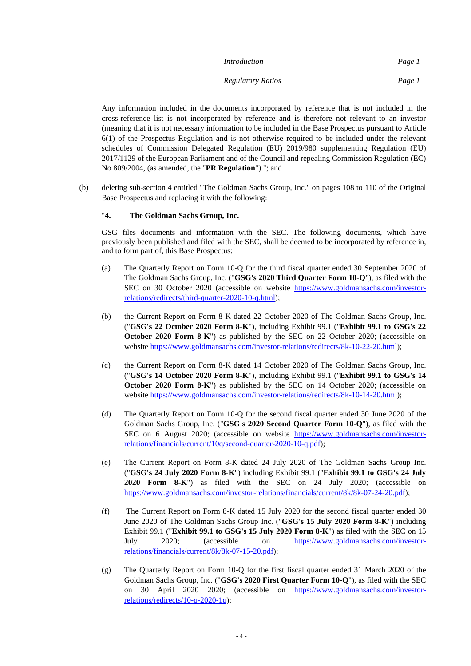| Introduction             | Page 1 |
|--------------------------|--------|
| <b>Regulatory Ratios</b> | Page 1 |

Any information included in the documents incorporated by reference that is not included in the cross-reference list is not incorporated by reference and is therefore not relevant to an investor (meaning that it is not necessary information to be included in the Base Prospectus pursuant to Article 6(1) of the Prospectus Regulation and is not otherwise required to be included under the relevant schedules of Commission Delegated Regulation (EU) 2019/980 supplementing Regulation (EU) 2017/1129 of the European Parliament and of the Council and repealing Commission Regulation (EC) No 809/2004, (as amended, the "**PR Regulation**")."; and

(b) deleting sub-section 4 entitled "The Goldman Sachs Group, Inc." on pages 108 to 110 of the Original Base Prospectus and replacing it with the following:

## "**4. The Goldman Sachs Group, Inc.**

GSG files documents and information with the SEC. The following documents, which have previously been published and filed with the SEC, shall be deemed to be incorporated by reference in, and to form part of, this Base Prospectus:

- (a) The Quarterly Report on Form 10-Q for the third fiscal quarter ended 30 September 2020 of The Goldman Sachs Group, Inc. ("**GSG's 2020 Third Quarter Form 10-Q**"), as filed with the SEC on 30 October 2020 (accessible on website https://www.goldmansachs.com/investorrelations/redirects/third-quarter-2020-10-q.html);
- (b) the Current Report on Form 8-K dated 22 October 2020 of The Goldman Sachs Group, Inc. ("**GSG's 22 October 2020 Form 8-K**"), including Exhibit 99.1 ("**Exhibit 99.1 to GSG's 22 October 2020 Form 8-K**") as published by the SEC on 22 October 2020; (accessible on website https://www.goldmansachs.com/investor-relations/redirects/8k-10-22-20.html);
- (c) the Current Report on Form 8-K dated 14 October 2020 of The Goldman Sachs Group, Inc. ("**GSG's 14 October 2020 Form 8-K**"), including Exhibit 99.1 ("**Exhibit 99.1 to GSG's 14 October 2020 Form 8-K**") as published by the SEC on 14 October 2020; (accessible on website https://www.goldmansachs.com/investor-relations/redirects/8k-10-14-20.html);
- (d) The Quarterly Report on Form 10-Q for the second fiscal quarter ended 30 June 2020 of the Goldman Sachs Group, Inc. ("**GSG's 2020 Second Quarter Form 10-Q**"), as filed with the SEC on 6 August 2020; (accessible on website https://www.goldmansachs.com/investorrelations/financials/current/10q/second-quarter-2020-10-q.pdf);
- (e) The Current Report on Form 8-K dated 24 July 2020 of The Goldman Sachs Group Inc. ("**GSG's 24 July 2020 Form 8-K**") including Exhibit 99.1 ("**Exhibit 99.1 to GSG's 24 July 2020 Form 8-K**") as filed with the SEC on 24 July 2020; (accessible on https://www.goldmansachs.com/investor-relations/financials/current/8k/8k-07-24-20.pdf);
- (f) The Current Report on Form 8-K dated 15 July 2020 for the second fiscal quarter ended 30 June 2020 of The Goldman Sachs Group Inc. ("**GSG's 15 July 2020 Form 8-K**") including Exhibit 99.1 ("**Exhibit 99.1 to GSG's 15 July 2020 Form 8-K**") as filed with the SEC on 15 July 2020; (accessible on https://www.goldmansachs.com/investorrelations/financials/current/8k/8k-07-15-20.pdf);
- (g) The Quarterly Report on Form 10-Q for the first fiscal quarter ended 31 March 2020 of the Goldman Sachs Group, Inc. ("**GSG's 2020 First Quarter Form 10-Q**"), as filed with the SEC on 30 April 2020 2020; (accessible on https://www.goldmansachs.com/investorrelations/redirects/10-q-2020-1q);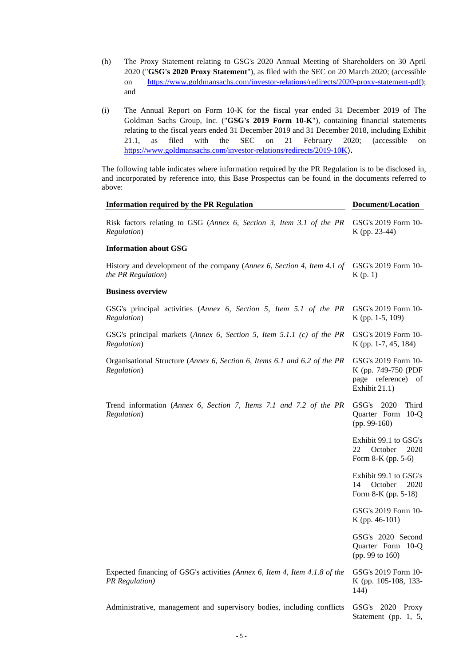- (h) The Proxy Statement relating to GSG's 2020 Annual Meeting of Shareholders on 30 April 2020 ("**GSG's 2020 Proxy Statement**"), as filed with the SEC on 20 March 2020; (accessible on https://www.goldmansachs.com/investor-relations/redirects/2020-proxy-statement-pdf); and
- (i) The Annual Report on Form 10-K for the fiscal year ended 31 December 2019 of The Goldman Sachs Group, Inc. ("**GSG's 2019 Form 10-K**"), containing financial statements relating to the fiscal years ended 31 December 2019 and 31 December 2018, including Exhibit 21.1, as filed with the SEC on 21 February 2020; (accessible on https://www.goldmansachs.com/investor-relations/redirects/2019-10K).

The following table indicates where information required by the PR Regulation is to be disclosed in, and incorporated by reference into, this Base Prospectus can be found in the documents referred to above:

| <b>Information required by the PR Regulation</b>                                                    | <b>Document/Location</b>                                                          |  |
|-----------------------------------------------------------------------------------------------------|-----------------------------------------------------------------------------------|--|
| Risk factors relating to GSG (Annex 6, Section 3, Item 3.1 of the PR<br>Regulation)                 | GSG's 2019 Form 10-<br>K (pp. 23-44)                                              |  |
| <b>Information about GSG</b>                                                                        |                                                                                   |  |
| History and development of the company (Annex 6, Section 4, Item 4.1 of<br>the PR Regulation)       | GSG's 2019 Form 10-<br>K(p. 1)                                                    |  |
| <b>Business overview</b>                                                                            |                                                                                   |  |
| GSG's principal activities (Annex 6, Section 5, Item 5.1 of the PR<br>Regulation)                   | GSG's 2019 Form 10-<br>K (pp. 1-5, 109)                                           |  |
| GSG's principal markets (Annex 6, Section 5, Item 5.1.1 (c) of the PR<br>Regulation)                | GSG's 2019 Form 10-<br>K (pp. 1-7, 45, 184)                                       |  |
| Organisational Structure (Annex 6, Section 6, Items 6.1 and 6.2 of the PR<br>Regulation)            | GSG's 2019 Form 10-<br>K (pp. 749-750 (PDF<br>page reference) of<br>Exhibit 21.1) |  |
| Trend information (Annex 6, Section 7, Items 7.1 and 7.2 of the PR<br>Regulation)                   | GSG's 2020<br>Third<br>Quarter Form 10-Q<br>$(pp. 99-160)$                        |  |
|                                                                                                     | Exhibit 99.1 to GSG's<br>22<br>October<br>2020<br>Form 8-K (pp. 5-6)              |  |
|                                                                                                     | Exhibit 99.1 to GSG's<br>14<br>October<br>2020<br>Form 8-K (pp. 5-18)             |  |
|                                                                                                     | GSG's 2019 Form 10-<br>K (pp. 46-101)                                             |  |
|                                                                                                     | GSG's 2020 Second<br>Quarter Form 10-Q<br>(pp. 99 to 160)                         |  |
| Expected financing of GSG's activities (Annex 6, Item 4, Item 4.1.8 of the<br><b>PR</b> Regulation) | GSG's 2019 Form 10-<br>K (pp. 105-108, 133-<br>144)                               |  |
| Administrative, management and supervisory bodies, including conflicts                              | GSG's 2020 Proxy<br>Statement (pp. $1, 5,$                                        |  |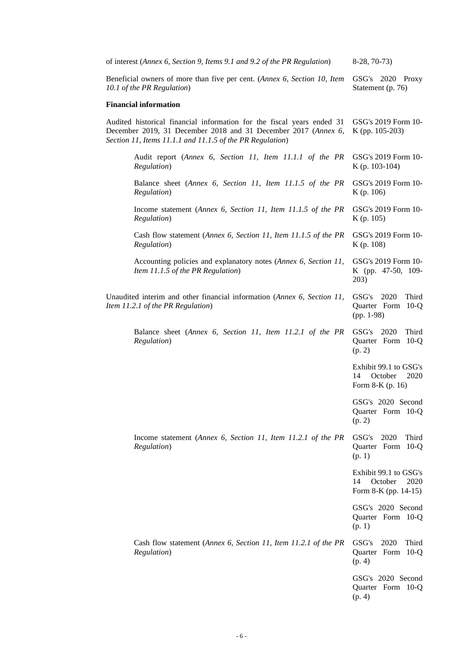| of interest (Annex 6, Section 9, Items 9.1 and 9.2 of the PR Regulation)                                                                                                                              | $8-28, 70-73$                                                          |  |
|-------------------------------------------------------------------------------------------------------------------------------------------------------------------------------------------------------|------------------------------------------------------------------------|--|
| Beneficial owners of more than five per cent. (Annex 6, Section 10, Item<br>10.1 of the PR Regulation)                                                                                                | GSG's 2020 Proxy<br>Statement (p. 76)                                  |  |
| <b>Financial information</b>                                                                                                                                                                          |                                                                        |  |
| Audited historical financial information for the fiscal years ended 31<br>December 2019, 31 December 2018 and 31 December 2017 (Annex 6,<br>Section 11, Items 11.1.1 and 11.1.5 of the PR Regulation) | GSG's 2019 Form 10-<br>K (pp. 105-203)                                 |  |
| Audit report (Annex 6, Section 11, Item 11.1.1 of the PR<br>Regulation)                                                                                                                               | GSG's 2019 Form 10-<br>K (p. 103-104)                                  |  |
| Balance sheet (Annex 6, Section 11, Item 11.1.5 of the PR<br>Regulation)                                                                                                                              | GSG's 2019 Form 10-<br>K(p. 106)                                       |  |
| Income statement (Annex 6, Section 11, Item 11.1.5 of the PR<br>Regulation)                                                                                                                           | GSG's 2019 Form 10-<br>K(p. 105)                                       |  |
| Cash flow statement (Annex 6, Section 11, Item 11.1.5 of the PR<br>Regulation)                                                                                                                        | GSG's 2019 Form 10-<br>K(p. 108)                                       |  |
| Accounting policies and explanatory notes (Annex 6, Section 11,<br>Item 11.1.5 of the PR Regulation)                                                                                                  | GSG's 2019 Form 10-<br>K (pp. 47-50, 109-<br>203)                      |  |
| Unaudited interim and other financial information (Annex 6, Section 11,<br>Item 11.2.1 of the PR Regulation)                                                                                          | 2020<br>Third<br>GSG's<br>Quarter Form 10-Q<br>$(pp. 1-98)$            |  |
| Balance sheet (Annex 6, Section 11, Item 11.2.1 of the PR<br>Regulation)                                                                                                                              | 2020<br>Third<br>GSG's<br>Quarter Form 10-Q<br>(p. 2)                  |  |
|                                                                                                                                                                                                       | Exhibit 99.1 to GSG's<br>October<br>14<br>2020<br>Form 8-K (p. 16)     |  |
|                                                                                                                                                                                                       | GSG's 2020 Second<br>Quarter Form 10-Q<br>(p. 2)                       |  |
| Income statement (Annex 6, Section 11, Item 11.2.1 of the PR<br>Regulation)                                                                                                                           | GSG's<br>2020<br>Third<br>Quarter Form 10-Q<br>(p. 1)                  |  |
|                                                                                                                                                                                                       | Exhibit 99.1 to GSG's<br>October<br>14<br>2020<br>Form 8-K (pp. 14-15) |  |
|                                                                                                                                                                                                       | GSG's 2020 Second<br>Quarter Form 10-Q<br>(p. 1)                       |  |
| Cash flow statement (Annex 6, Section 11, Item 11.2.1 of the PR<br>Regulation)                                                                                                                        | GSG's<br>2020<br>Third<br>Quarter Form 10-Q<br>(p. 4)                  |  |
|                                                                                                                                                                                                       | GSG's 2020 Second<br>Quarter Form 10-Q<br>(p. 4)                       |  |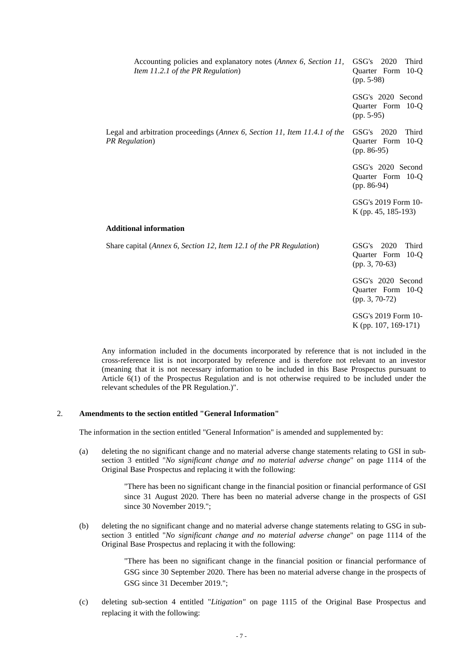| Accounting policies and explanatory notes (Annex 6, Section 11,<br>Item 11.2.1 of the PR Regulation) | GSG's 2020<br>Third<br>Quarter Form<br>$10-o$<br>$(pp. 5-98)$     |  |
|------------------------------------------------------------------------------------------------------|-------------------------------------------------------------------|--|
|                                                                                                      | GSG's 2020 Second<br>Quarter Form 10-Q<br>$(pp. 5-95)$            |  |
| Legal and arbitration proceedings (Annex 6, Section 11, Item 11.4.1 of the<br><b>PR</b> Regulation)  | GSG's 2020<br>Third<br>Quarter Form<br>$10-o$<br>$(pp. 86-95)$    |  |
|                                                                                                      | GSG's 2020 Second<br>Quarter Form 10-Q<br>$(pp. 86-94)$           |  |
|                                                                                                      | GSG's 2019 Form 10-<br>K (pp. 45, 185-193)                        |  |
| <b>Additional information</b>                                                                        |                                                                   |  |
| Share capital (Annex 6, Section 12, Item 12.1 of the PR Regulation)                                  | GSG's 2020<br>Third<br>Quarter Form<br>$10-Q$<br>$(pp. 3, 70-63)$ |  |
|                                                                                                      | GSG's 2020 Second<br>Quarter Form 10-Q<br>$(pp. 3, 70-72)$        |  |
|                                                                                                      | GSG's 2019 Form 10-<br>K (pp. 107, 169-171)                       |  |

Any information included in the documents incorporated by reference that is not included in the cross-reference list is not incorporated by reference and is therefore not relevant to an investor (meaning that it is not necessary information to be included in this Base Prospectus pursuant to Article 6(1) of the Prospectus Regulation and is not otherwise required to be included under the relevant schedules of the PR Regulation.)".

### 2. **Amendments to the section entitled "General Information"**

The information in the section entitled "General Information" is amended and supplemented by:

(a) deleting the no significant change and no material adverse change statements relating to GSI in subsection 3 entitled "*No significant change and no material adverse change*" on page 1114 of the Original Base Prospectus and replacing it with the following:

> "There has been no significant change in the financial position or financial performance of GSI since 31 August 2020. There has been no material adverse change in the prospects of GSI since 30 November 2019.";

(b) deleting the no significant change and no material adverse change statements relating to GSG in subsection 3 entitled "*No significant change and no material adverse change*" on page 1114 of the Original Base Prospectus and replacing it with the following:

> "There has been no significant change in the financial position or financial performance of GSG since 30 September 2020. There has been no material adverse change in the prospects of GSG since 31 December 2019.";

(c) deleting sub-section 4 entitled "*Litigation"* on page 1115 of the Original Base Prospectus and replacing it with the following: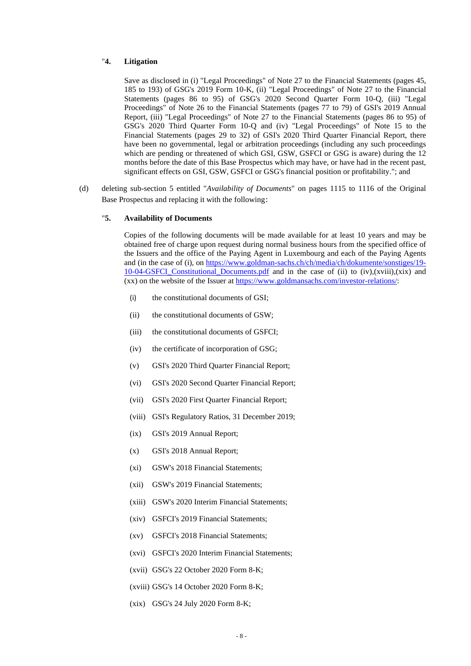### "**4. Litigation**

Save as disclosed in (i) "Legal Proceedings" of Note 27 to the Financial Statements (pages 45, 185 to 193) of GSG's 2019 Form 10-K, (ii) "Legal Proceedings" of Note 27 to the Financial Statements (pages 86 to 95) of GSG's 2020 Second Quarter Form 10-Q, (iii) "Legal Proceedings" of Note 26 to the Financial Statements (pages 77 to 79) of GSI's 2019 Annual Report, (iii) "Legal Proceedings" of Note 27 to the Financial Statements (pages 86 to 95) of GSG's 2020 Third Quarter Form 10-Q and (iv) "Legal Proceedings" of Note 15 to the Financial Statements (pages 29 to 32) of GSI's 2020 Third Quarter Financial Report, there have been no governmental, legal or arbitration proceedings (including any such proceedings which are pending or threatened of which GSI, GSW, GSFCI or GSG is aware) during the 12 months before the date of this Base Prospectus which may have, or have had in the recent past, significant effects on GSI, GSW, GSFCI or GSG's financial position or profitability."; and

(d) deleting sub-section 5 entitled "*Availability of Documents*" on pages 1115 to 1116 of the Original Base Prospectus and replacing it with the following:

#### "**5. Availability of Documents**

Copies of the following documents will be made available for at least 10 years and may be obtained free of charge upon request during normal business hours from the specified office of the Issuers and the office of the Paying Agent in Luxembourg and each of the Paying Agents and (in the case of (i), on https://www.goldman-sachs.ch/ch/media/ch/dokumente/sonstiges/19-10-04-GSFCI\_Constitutional\_Documents.pdf and in the case of (ii) to (iv),(xviii),(xix) and (xx) on the website of the Issuer at https://www.goldmansachs.com/investor-relations/:

- (i) the constitutional documents of GSI;
- (ii) the constitutional documents of GSW;
- (iii) the constitutional documents of GSFCI;
- (iv) the certificate of incorporation of GSG;
- (v) GSI's 2020 Third Quarter Financial Report;
- (vi) GSI's 2020 Second Quarter Financial Report;
- (vii) GSI's 2020 First Quarter Financial Report;
- (viii) GSI's Regulatory Ratios, 31 December 2019;
- (ix) GSI's 2019 Annual Report;
- (x) GSI's 2018 Annual Report;
- (xi) GSW's 2018 Financial Statements;
- (xii) GSW's 2019 Financial Statements;
- (xiii) GSW's 2020 Interim Financial Statements;
- (xiv) GSFCI's 2019 Financial Statements;
- (xv) GSFCI's 2018 Financial Statements;
- (xvi) GSFCI's 2020 Interim Financial Statements;
- (xvii) GSG's 22 October 2020 Form 8-K;
- (xviii) GSG's 14 October 2020 Form 8-K;
- (xix) GSG's 24 July 2020 Form 8-K;